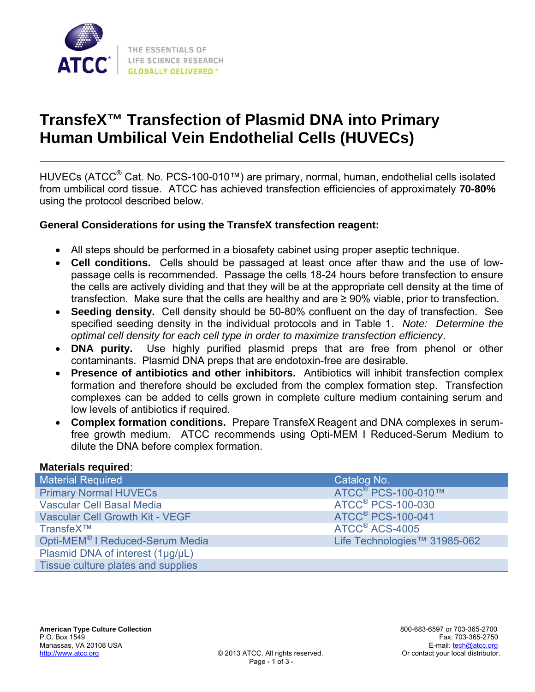

# **TransfeX™ Transfection of Plasmid DNA into Primary Human Umbilical Vein Endothelial Cells (HUVECs)**

HUVECs (ATCC® Cat. No. PCS-100-010™) are primary, normal, human, endothelial cells isolated from umbilical cord tissue. ATCC has achieved transfection efficiencies of approximately **70-80%** using the protocol described below.

### **General Considerations for using the TransfeX transfection reagent:**

- All steps should be performed in a biosafety cabinet using proper aseptic technique.
- **Cell conditions.** Cells should be passaged at least once after thaw and the use of lowpassage cells is recommended. Passage the cells 18-24 hours before transfection to ensure the cells are actively dividing and that they will be at the appropriate cell density at the time of transfection. Make sure that the cells are healthy and are ≥ 90% viable, prior to transfection.
- **Seeding density.** Cell density should be 50-80% confluent on the day of transfection. See specified seeding density in the individual protocols and in Table 1. *Note: Determine the optimal cell density for each cell type in order to maximize transfection efficiency*.
- **DNA purity.** Use highly purified plasmid preps that are free from phenol or other contaminants. Plasmid DNA preps that are endotoxin-free are desirable.
- **Presence of antibiotics and other inhibitors.** Antibiotics will inhibit transfection complex formation and therefore should be excluded from the complex formation step. Transfection complexes can be added to cells grown in complete culture medium containing serum and low levels of antibiotics if required.
- **Complex formation conditions.** Prepare TransfeX Reagent and DNA complexes in serumfree growth medium. ATCC recommends using Opti-MEM I Reduced-Serum Medium to dilute the DNA before complex formation.

#### **Materials required**:

| Material Required                           | Catalog No.                         |
|---------------------------------------------|-------------------------------------|
| <b>Primary Normal HUVECs</b>                | ATCC <sup>®</sup> PCS-100-010™      |
| <b>Vascular Cell Basal Media</b>            | <b>ATCC<sup>®</sup> PCS-100-030</b> |
| <b>Vascular Cell Growth Kit - VEGF</b>      | <b>ATCC<sup>®</sup> PCS-100-041</b> |
| TransfeX™                                   | ATCC <sup>®</sup> ACS-4005          |
| Opti-MEM <sup>®</sup> I Reduced-Serum Media | Life Technologies™ 31985-062        |
| Plasmid DNA of interest (1µg/µL)            |                                     |
| Tissue culture plates and supplies          |                                     |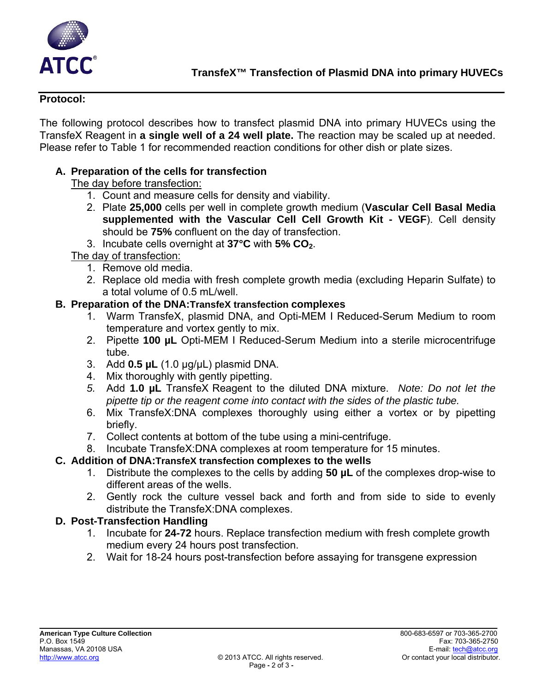

#### **Protocol:**

The following protocol describes how to transfect plasmid DNA into primary HUVECs using the TransfeX Reagent in **a single well of a 24 well plate.** The reaction may be scaled up at needed. Please refer to Table 1 for recommended reaction conditions for other dish or plate sizes.

## **A. Preparation of the cells for transfection**

The day before transfection:

- 1. Count and measure cells for density and viability.
- 2. Plate **25,000** cells per well in complete growth medium (**Vascular Cell Basal Media supplemented with the Vascular Cell Cell Growth Kit - VEGF**). Cell density should be **75%** confluent on the day of transfection.
- 3. Incubate cells overnight at **37°C** with **5% CO2**.

### The day of transfection:

- 1. Remove old media.
- 2. Replace old media with fresh complete growth media (excluding Heparin Sulfate) to a total volume of 0.5 mL/well.

### **B. Preparation of the DNA:TransfeX transfection complexes**

- 1. Warm TransfeX, plasmid DNA, and Opti-MEM I Reduced-Serum Medium to room temperature and vortex gently to mix.
- 2. Pipette **100 µL** Opti-MEM I Reduced-Serum Medium into a sterile microcentrifuge tube.
- 3. Add **0.5 µL** (1.0 µg/µL) plasmid DNA.
- 4. Mix thoroughly with gently pipetting.
- *5.* Add **1.0 µL** TransfeX Reagent to the diluted DNA mixture. *Note: Do not let the pipette tip or the reagent come into contact with the sides of the plastic tube.*
- 6. Mix TransfeX:DNA complexes thoroughly using either a vortex or by pipetting briefly.
- 7. Collect contents at bottom of the tube using a mini-centrifuge.
- 8. Incubate TransfeX:DNA complexes at room temperature for 15 minutes.

# **C. Addition of DNA:TransfeX transfection complexes to the wells**

- 1. Distribute the complexes to the cells by adding **50 µL** of the complexes drop-wise to different areas of the wells.
- 2. Gently rock the culture vessel back and forth and from side to side to evenly distribute the TransfeX:DNA complexes.

# **D. Post-Transfection Handling**

- 1. Incubate for **24-72** hours. Replace transfection medium with fresh complete growth medium every 24 hours post transfection.
- 2. Wait for 18-24 hours post-transfection before assaying for transgene expression